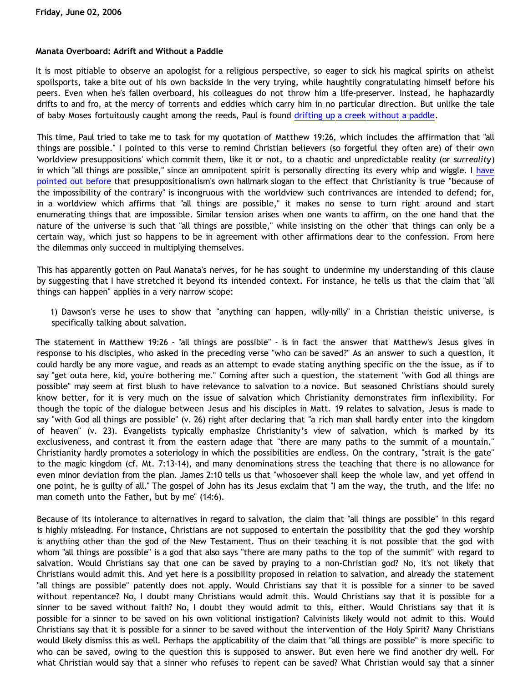### **Manata Overboard: Adrift and Without a Paddle**

It is most pitiable to observe an apologist for a religious perspective, so eager to sick his magical spirits on atheist spoilsports, take a bite out of his own backside in the very trying, while haughtily congratulating himself before his peers. Even when he's fallen overboard, his colleagues do not throw him a life-preserver. Instead, he haphazardly drifts to and fro, at the mercy of torrents and eddies which carry him in no particular direction. But unlike the tale of baby Moses fortuitously caught among the reeds, Paul is found [drifting up a creek without a paddle.](http://triablogue.blogspot.com/2006/05/bethricks-blunders-or-up-dawsons-creek_14.html)

This time, Paul tried to take me to task for my quotation of Matthew 19:26, which includes the affirmation that "all things are possible." I pointed to this verse to remind Christian believers (so forgetful they often are) of their own 'worldview presuppositions' which commit them, like it or not, to a chaotic and unpredictable reality (or *surreality*) in which "all things are possible," since an omnipotent spirit is personally directing its every whip and wiggle. I [have](http://bahnsenburner.blogspot.com/2005/09/is-contrary-to-christianity-truly.html) [pointed out before](http://bahnsenburner.blogspot.com/2005/09/is-contrary-to-christianity-truly.html) that presuppositionalism's own hallmark slogan to the effect that Christianity is true "because of the impossibility of the contrary" is incongruous with the worldview such contrivances are intended to defend; for, in a worldview which affirms that "all things are possible," it makes no sense to turn right around and start enumerating things that are impossible. Similar tension arises when one wants to affirm, on the one hand that the nature of the universe is such that "all things are possible," while insisting on the other that things can only be a certain way, which just so happens to be in agreement with other affirmations dear to the confession. From here the dilemmas only succeed in multiplying themselves.

This has apparently gotten on Paul Manata's nerves, for he has sought to undermine my understanding of this clause by suggesting that I have stretched it beyond its intended context. For instance, he tells us that the claim that "all things can happen" applies in a very narrow scope:

1) Dawson's verse he uses to show that "anything can happen, willy-nilly" in a Christian theistic universe, is specifically talking about salvation.

The statement in Matthew 19:26 - "all things are possible" - is in fact the answer that Matthew's Jesus gives in response to his disciples, who asked in the preceding verse "who can be saved?" As an answer to such a question, it could hardly be any more vague, and reads as an attempt to evade stating anything specific on the the issue, as if to say "get outa here, kid, you're bothering me." Coming after such a question, the statement "with God all things are possible" may seem at first blush to have relevance to salvation to a novice. But seasoned Christians should surely know better, for it is very much on the issue of salvation which Christianity demonstrates firm inflexibility. For though the topic of the dialogue between Jesus and his disciples in Matt. 19 relates to salvation, Jesus is made to say "with God all things are possible" (v. 26) right after declaring that "a rich man shall hardly enter into the kingdom of heaven" (v. 23). Evangelists typically emphasize Christianity's view of salvation, which is marked by its exclusiveness, and contrast it from the eastern adage that "there are many paths to the summit of a mountain." Christianity hardly promotes a soteriology in which the possibilities are endless. On the contrary, "strait is the gate" to the magic kingdom (cf. Mt. 7:13-14), and many denominations stress the teaching that there is no allowance for even minor deviation from the plan. James 2:10 tells us that "whosoever shall keep the whole law, and yet offend in one point, he is guilty of all." The gospel of John has its Jesus exclaim that "I am the way, the truth, and the life: no man cometh unto the Father, but by me" (14:6).

Because of its intolerance to alternatives in regard to salvation, the claim that "all things are possible" in this regard is highly misleading. For instance, Christians are not supposed to entertain the possibility that the god they worship is anything other than the god of the New Testament. Thus on their teaching it is not possible that the god with whom "all things are possible" is a god that also says "there are many paths to the top of the summit" with regard to salvation. Would Christians say that one can be saved by praying to a non-Christian god? No, it's not likely that Christians would admit this. And yet here is a possibility proposed in relation to salvation, and already the statement "all things are possible" patently does not apply. Would Christians say that it is possible for a sinner to be saved without repentance? No, I doubt many Christians would admit this. Would Christians say that it is possible for a sinner to be saved without faith? No, I doubt they would admit to this, either. Would Christians say that it is possible for a sinner to be saved on his own volitional instigation? Calvinists likely would not admit to this. Would Christians say that it is possible for a sinner to be saved without the intervention of the Holy Spirit? Many Christians would likely dismiss this as well. Perhaps the applicability of the claim that "all things are possible" is more specific to who can be saved, owing to the question this is supposed to answer. But even here we find another dry well. For what Christian would say that a sinner who refuses to repent can be saved? What Christian would say that a sinner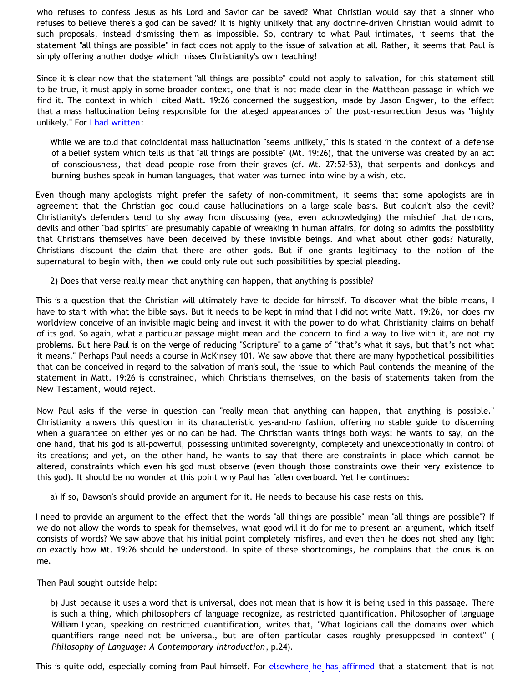who refuses to confess Jesus as his Lord and Savior can be saved? What Christian would say that a sinner who refuses to believe there's a god can be saved? It is highly unlikely that any doctrine-driven Christian would admit to such proposals, instead dismissing them as impossible. So, contrary to what Paul intimates, it seems that the statement "all things are possible" in fact does not apply to the issue of salvation at all. Rather, it seems that Paul is simply offering another dodge which misses Christianity's own teaching!

Since it is clear now that the statement "all things are possible" could not apply to salvation, for this statement still to be true, it must apply in some broader context, one that is not made clear in the Matthean passage in which we find it. The context in which I cited Matt. 19:26 concerned the suggestion, made by Jason Engwer, to the effect that a mass hallucination being responsible for the alleged appearances of the post-resurrection Jesus was "highly unlikely." For [I had written](http://bahnsenburner.blogspot.com/2006/05/jason-and-halluci-nots.html):

While we are told that coincidental mass hallucination "seems unlikely," this is stated in the context of a defense of a belief system which tells us that "all things are possible" (Mt. 19:26), that the universe was created by an act of consciousness, that dead people rose from their graves (cf. Mt. 27:52-53), that serpents and donkeys and burning bushes speak in human languages, that water was turned into wine by a wish, etc.

Even though many apologists might prefer the safety of non-commitment, it seems that some apologists are in agreement that the Christian god could cause hallucinations on a large scale basis. But couldn't also the devil? Christianity's defenders tend to shy away from discussing (yea, even acknowledging) the mischief that demons, devils and other "bad spirits" are presumably capable of wreaking in human affairs, for doing so admits the possibility that Christians themselves have been deceived by these invisible beings. And what about other gods? Naturally, Christians discount the claim that there are other gods. But if one grants legitimacy to the notion of the supernatural to begin with, then we could only rule out such possibilities by special pleading.

2) Does that verse really mean that anything can happen, that anything is possible?

This is a question that the Christian will ultimately have to decide for himself. To discover what the bible means, I have to start with what the bible says. But it needs to be kept in mind that I did not write Matt. 19:26, nor does my worldview conceive of an invisible magic being and invest it with the power to do what Christianity claims on behalf of its god. So again, what a particular passage might mean and the concern to find a way to live with it, are not my problems. But here Paul is on the verge of reducing "Scripture" to a game of "that's what it says, but that's not what it means." Perhaps Paul needs a course in McKinsey 101. We saw above that there are many hypothetical possibilities that can be conceived in regard to the salvation of man's soul, the issue to which Paul contends the meaning of the statement in Matt. 19:26 is constrained, which Christians themselves, on the basis of statements taken from the New Testament, would reject.

Now Paul asks if the verse in question can "really mean that anything can happen, that anything is possible." Christianity answers this question in its characteristic yes-and-no fashion, offering no stable guide to discerning when a guarantee on either yes or no can be had. The Christian wants things both ways: he wants to say, on the one hand, that his god is all-powerful, possessing unlimited sovereignty, completely and unexceptionally in control of its creations; and yet, on the other hand, he wants to say that there are constraints in place which cannot be altered, constraints which even his god must observe (even though those constraints owe their very existence to this god). It should be no wonder at this point why Paul has fallen overboard. Yet he continues:

a) If so, Dawson's should provide an argument for it. He needs to because his case rests on this.

I need to provide an argument to the effect that the words "all things are possible" mean "all things are possible"? If we do not allow the words to speak for themselves, what good will it do for me to present an argument, which itself consists of words? We saw above that his initial point completely misfires, and even then he does not shed any light on exactly how Mt. 19:26 should be understood. In spite of these shortcomings, he complains that the onus is on me.

Then Paul sought outside help:

b) Just because it uses a word that is universal, does not mean that is how it is being used in this passage. There is such a thing, which philosophers of language recognize, as restricted quantification. Philosopher of language William Lycan, speaking on restricted quantification, writes that, "What logicians call the domains over which quantifiers range need not be universal, but are often particular cases roughly presupposed in context" ( *Philosophy of Language: A Contemporary Introduction*, p.24).

This is quite odd, especially coming from Paul himself. For [elsewhere he has affirmed](http://goosetheantithesis.blogspot.com/2005/10/question-of-day-2.html) that a statement that is not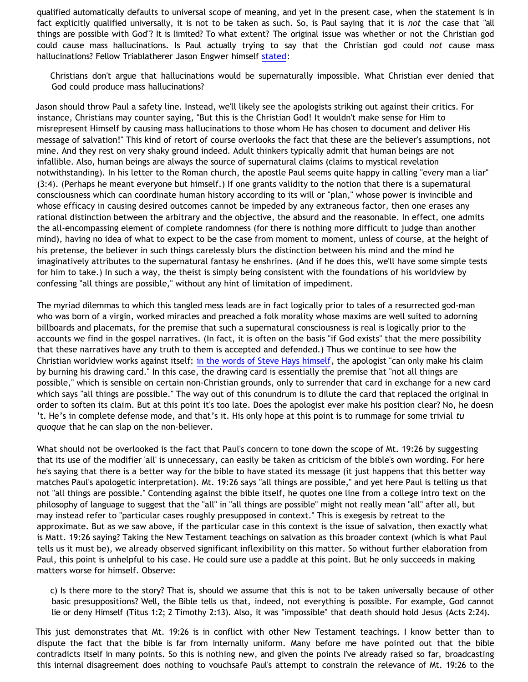qualified automatically defaults to universal scope of meaning, and yet in the present case, when the statement is in fact explicitly qualified universally, it is not to be taken as such. So, is Paul saying that it is *not* the case that "all things are possible with God"? It is limited? To what extent? The original issue was whether or not the Christian god could cause mass hallucinations. Is Paul actually trying to say that the Christian god could *not* cause mass hallucinations? Fellow Triablatherer Jason Engwer himself [stated:](http://triablogue.blogspot.com/2006/05/dawson-bethricks-not-impossible.html)

Christians don't argue that hallucinations would be supernaturally impossible. What Christian ever denied that God could produce mass hallucinations?

Jason should throw Paul a safety line. Instead, we'll likely see the apologists striking out against their critics. For instance, Christians may counter saying, "But this is the Christian God! It wouldn't make sense for Him to misrepresent Himself by causing mass hallucinations to those whom He has chosen to document and deliver His message of salvation!" This kind of retort of course overlooks the fact that these are the believer's assumptions, not mine. And they rest on very shaky ground indeed. Adult thinkers typically admit that human beings are not infallible. Also, human beings are always the source of supernatural claims (claims to mystical revelation notwithstanding). In his letter to the Roman church, the apostle Paul seems quite happy in calling "every man a liar" (3:4). (Perhaps he meant everyone but himself.) If one grants validity to the notion that there is a supernatural consciousness which can coordinate human history according to its will or "plan," whose power is invincible and whose efficacy in causing desired outcomes cannot be impeded by any extraneous factor, then one erases any rational distinction between the arbitrary and the objective, the absurd and the reasonable. In effect, one admits the all-encompassing element of complete randomness (for there is nothing more difficult to judge than another mind), having no idea of what to expect to be the case from moment to moment, unless of course, at the height of his pretense, the believer in such things carelessly blurs the distinction between his mind and the mind he imaginatively attributes to the supernatural fantasy he enshrines. (And if he does this, we'll have some simple tests for him to take.) In such a way, the theist is simply being consistent with the foundations of his worldview by confessing "all things are possible," without any hint of limitation of impediment.

The myriad dilemmas to which this tangled mess leads are in fact logically prior to tales of a resurrected god-man who was born of a virgin, worked miracles and preached a folk morality whose maxims are well suited to adorning billboards and placemats, for the premise that such a supernatural consciousness is real is logically prior to the accounts we find in the gospel narratives. (In fact, it is often on the basis "if God exists" that the mere possibility that these narratives have any truth to them is accepted and defended.) Thus we continue to see how the Christian worldview works against itself: [in the words of Steve Hays himself](http://triablogue.blogspot.com/2006/05/feejee-mermaid.html), the apologist "can only make his claim by burning his drawing card." In this case, the drawing card is essentially the premise that "not all things are possible," which is sensible on certain non-Christian grounds, only to surrender that card in exchange for a new card which says "all things are possible." The way out of this conundrum is to dilute the card that replaced the original in order to soften its claim. But at this point it's too late. Does the apologist ever make his position clear? No, he doesn 't. He's in complete defense mode, and that's it. His only hope at this point is to rummage for some trivial *tu quoque* that he can slap on the non-believer.

What should not be overlooked is the fact that Paul's concern to tone down the scope of Mt. 19:26 by suggesting that its use of the modifier 'all' is unnecessary, can easily be taken as criticism of the bible's own wording. For here he's saying that there is a better way for the bible to have stated its message (it just happens that this better way matches Paul's apologetic interpretation). Mt. 19:26 says "all things are possible," and yet here Paul is telling us that not "all things are possible." Contending against the bible itself, he quotes one line from a college intro text on the philosophy of language to suggest that the "all" in "all things are possible" might not really mean "all" after all, but may instead refer to "particular cases roughly presupposed in context." This is exegesis by retreat to the approximate. But as we saw above, if the particular case in this context is the issue of salvation, then exactly what is Matt. 19:26 saying? Taking the New Testament teachings on salvation as this broader context (which is what Paul tells us it must be), we already observed significant inflexibility on this matter. So without further elaboration from Paul, this point is unhelpful to his case. He could sure use a paddle at this point. But he only succeeds in making matters worse for himself. Observe:

c) Is there more to the story? That is, should we assume that this is not to be taken universally because of other basic presuppositions? Well, the Bible tells us that, indeed, not everything is possible. For example, God cannot lie or deny Himself (Titus 1:2; 2 Timothy 2:13). Also, it was "impossible" that death should hold Jesus (Acts 2:24).

This just demonstrates that Mt. 19:26 is in conflict with other New Testament teachings. I know better than to dispute the fact that the bible is far from internally uniform. Many before me have pointed out that the bible contradicts itself in many points. So this is nothing new, and given the points I've already raised so far, broadcasting this internal disagreement does nothing to vouchsafe Paul's attempt to constrain the relevance of Mt. 19:26 to the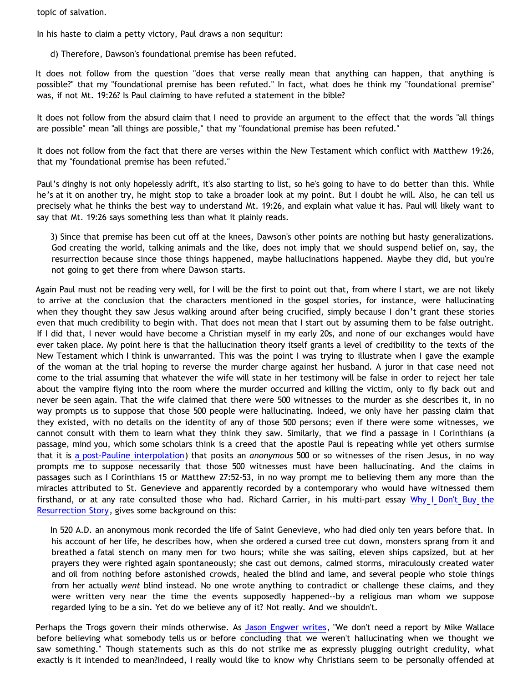topic of salvation.

In his haste to claim a petty victory, Paul draws a non sequitur:

d) Therefore, Dawson's foundational premise has been refuted.

It does not follow from the question "does that verse really mean that anything can happen, that anything is possible?" that my "foundational premise has been refuted." In fact, what does he think my "foundational premise" was, if not Mt. 19:26? Is Paul claiming to have refuted a statement in the bible?

It does not follow from the absurd claim that I need to provide an argument to the effect that the words "all things are possible" mean "all things are possible," that my "foundational premise has been refuted."

It does not follow from the fact that there are verses within the New Testament which conflict with Matthew 19:26, that my "foundational premise has been refuted."

Paul's dinghy is not only hopelessly adrift, it's also starting to list, so he's going to have to do better than this. While he's at it on another try, he might stop to take a broader look at my point. But I doubt he will. Also, he can tell us precisely what he thinks the best way to understand Mt. 19:26, and explain what value it has. Paul will likely want to say that Mt. 19:26 says something less than what it plainly reads.

3) Since that premise has been cut off at the knees, Dawson's other points are nothing but hasty generalizations. God creating the world, talking animals and the like, does not imply that we should suspend belief on, say, the resurrection because since those things happened, maybe hallucinations happened. Maybe they did, but you're not going to get there from where Dawson starts.

Again Paul must not be reading very well, for I will be the first to point out that, from where I start, we are not likely to arrive at the conclusion that the characters mentioned in the gospel stories, for instance, were hallucinating when they thought they saw Jesus walking around after being crucified, simply because I don't grant these stories even that much credibility to begin with. That does not mean that I start out by assuming them to be false outright. If I did that, I never would have become a Christian myself in my early 20s, and none of our exchanges would have ever taken place. My point here is that the hallucination theory itself grants a level of credibility to the texts of the New Testament which I think is unwarranted. This was the point I was trying to illustrate when I gave the example of the woman at the trial hoping to reverse the murder charge against her husband. A juror in that case need not come to the trial assuming that whatever the wife will state in her testimony will be false in order to reject her tale about the vampire flying into the room where the murder occurred and killing the victim, only to fly back out and never be seen again. That the wife claimed that there were 500 witnesses to the murder as she describes it, in no way prompts us to suppose that those 500 people were hallucinating. Indeed, we only have her passing claim that they existed, with no details on the identity of any of those 500 persons; even if there were some witnesses, we cannot consult with them to learn what they think they saw. Similarly, that we find a passage in I Corinthians (a passage, mind you, which some scholars think is a creed that the apostle Paul is repeating while yet others surmise that it is [a post-Pauline interpolation\)](http://www.infidels.org/library/modern/robert_price/apocrypha.html) that posits an *anonymous* 500 or so witnesses of the risen Jesus, in no way prompts me to suppose necessarily that those 500 witnesses must have been hallucinating. And the claims in passages such as I Corinthians 15 or Matthew 27:52-53, in no way prompt me to believing them any more than the miracles attributed to St. Genevieve and apparently recorded by a contemporary who would have witnessed them firsthand, or at any rate consulted those who had. Richard Carrier, in his multi-part essay [Why I Don't Buy the](http://www.infidels.org/library/modern/richard_carrier/resurrection/lecture.html) [Resurrection Story,](http://www.infidels.org/library/modern/richard_carrier/resurrection/lecture.html) gives some background on this:

In 520 A.D. an anonymous monk recorded the life of Saint Genevieve, who had died only ten years before that. In his account of her life, he describes how, when she ordered a cursed tree cut down, monsters sprang from it and breathed a fatal stench on many men for two hours; while she was sailing, eleven ships capsized, but at her prayers they were righted again spontaneously; she cast out demons, calmed storms, miraculously created water and oil from nothing before astonished crowds, healed the blind and lame, and several people who stole things from her actually *went* blind instead. No one wrote anything to contradict or challenge these claims, and they were written very near the time the events supposedly happened--by a religious man whom we suppose regarded lying to be a sin. Yet do we believe any of it? Not really. And we shouldn't.

Perhaps the Trogs govern their minds otherwise. As [Jason Engwer writes](http://triablogue.blogspot.com/2006/05/jesus-christ-benny-hinn-and-santa.html), "We don't need a report by Mike Wallace before believing what somebody tells us or before concluding that we weren't hallucinating when we thought we saw something." Though statements such as this do not strike me as expressly plugging outright credulity, what exactly is it intended to mean?Indeed, I really would like to know why Christians seem to be personally offended at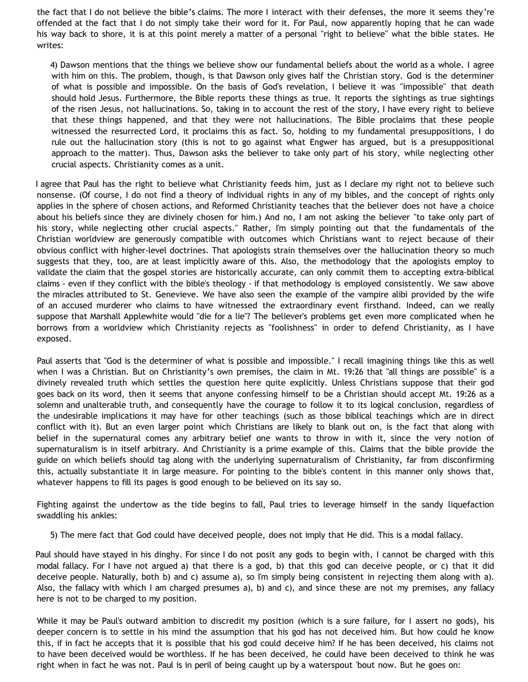the fact that I do not believe the bible's claims. The more I interact with their defenses, the more it seems they're offended at the fact that I do not simply take their word for it. For Paul, now apparently hoping that he can wade his way back to shore, it is at this point merely a matter of a personal "right to believe" what the bible states. He writes:

4) Dawson mentions that the things we believe show our fundamental beliefs about the world as a whole. I agree with him on this. The problem, though, is that Dawson only gives half the Christian story. God is the determiner of what is possible and impossible. On the basis of God's revelation, I believe it was "impossible" that death should hold Jesus. Furthermore, the Bible reports these things as true. It reports the sightings as true sightings of the risen Jesus, not hallucinations. So, taking in to account the rest of the story, I have every right to believe that these things happened, and that they were not hallucinations. The Bible proclaims that these people witnessed the resurrected Lord, it proclaims this as fact. So, holding to my fundamental presuppositions, I do rule out the hallucination story (this is not to go against what Engwer has argued, but is a presuppositional approach to the matter). Thus, Dawson asks the believer to take only part of his story, while neglecting other crucial aspects. Christianity comes as a unit.

I agree that Paul has the right to believe what Christianity feeds him, just as I declare my right not to believe such nonsense. (Of course, I do not find a theory of individual rights in any of my bibles, and the concept of rights only applies in the sphere of chosen actions, and Reformed Christianity teaches that the believer does not have a choice about his beliefs since they are divinely chosen for him.) And no, I am not asking the believer "to take only part of his story, while neglecting other crucial aspects." Rather, I'm simply pointing out that the fundamentals of the Christian worldview are generously compatible with outcomes which Christians want to reject because of their obvious conflict with higher-level doctrines. That apologists strain themselves over the hallucination theory so much suggests that they, too, are at least implicitly aware of this. Also, the methodology that the apologists employ to validate the claim that the gospel stories are historically accurate, can only commit them to accepting extra-biblical claims - even if they conflict with the bible's theology - if that methodology is employed consistently. We saw above the miracles attributed to St. Genevieve. We have also seen the example of the vampire alibi provided by the wife of an accused murderer who claims to have witnessed the extraordinary event firsthand. Indeed, can we really suppose that Marshall Applewhite would "die for a lie"? The believer's problems get even more complicated when he borrows from a worldview which Christianity rejects as "foolishness" in order to defend Christianity, as I have exposed.

Paul asserts that "God is the determiner of what is possible and impossible." I recall imagining things like this as well when I was a Christian. But on Christianity's own premises, the claim in Mt. 19:26 that "all things are possible" is a divinely revealed truth which settles the question here quite explicitly. Unless Christians suppose that their god goes back on its word, then it seems that anyone confessing himself to be a Christian should accept Mt. 19:26 as a solemn and unalterable truth, and consequently have the courage to follow it to its logical conclusion, regardless of the undesirable implications it may have for other teachings (such as those biblical teachings which are in direct conflict with it). But an even larger point which Christians are likely to blank out on, is the fact that along with belief in the supernatural comes any arbitrary belief one wants to throw in with it, since the very notion of supernaturalism is in itself arbitrary. And Christianity is a prime example of this. Claims that the bible provide the guide on which beliefs should tag along with the underlying supernaturalism of Christianity, far from disconfirming this, actually substantiate it in large measure. For pointing to the bible's content in this manner only shows that, whatever happens to fill its pages is good enough to be believed on its say so.

Fighting against the undertow as the tide begins to fall, Paul tries to leverage himself in the sandy liquefaction swaddling his ankles:

5) The mere fact that God could have deceived people, does not imply that He did. This is a modal fallacy.

Paul should have stayed in his dinghy. For since I do not posit any gods to begin with, I cannot be charged with this modal fallacy. For I have not argued a) that there is a god, b) that this god can deceive people, or c) that it did deceive people. Naturally, both b) and c) assume a), so I'm simply being consistent in rejecting them along with a). Also, the fallacy with which I am charged presumes a), b) and c), and since these are not my premises, any fallacy here is not to be charged to my position.

While it may be Paul's outward ambition to discredit my position (which is a sure failure, for I assert no gods), his deeper concern is to settle in his mind the assumption that his god has not deceived him. But how could he know this, if in fact he accepts that it is possible that his god could deceive him? If he has been deceived, his claims not to have been deceived would be worthless. If he has been deceived, he could have been deceived to think he was right when in fact he was not. Paul is in peril of being caught up by a waterspout 'bout now. But he goes on: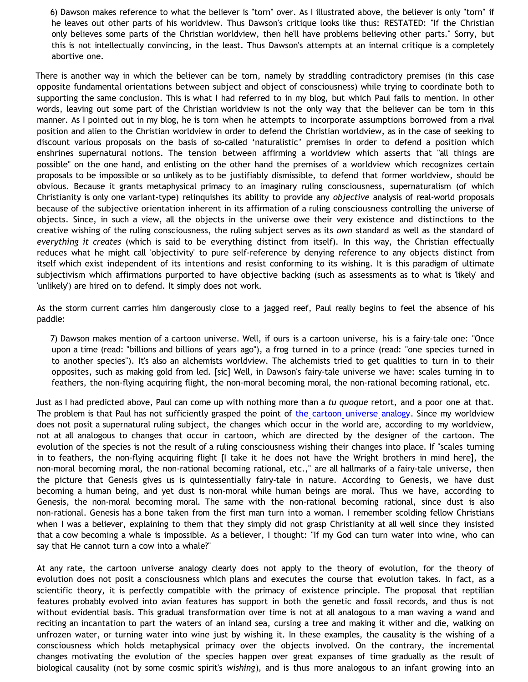6) Dawson makes reference to what the believer is "torn" over. As I illustrated above, the believer is only "torn" if he leaves out other parts of his worldview. Thus Dawson's critique looks like thus: RESTATED: "If the Christian only believes some parts of the Christian worldview, then he'll have problems believing other parts." Sorry, but this is not intellectually convincing, in the least. Thus Dawson's attempts at an internal critique is a completely abortive one.

There is another way in which the believer can be torn, namely by straddling contradictory premises (in this case opposite fundamental orientations between subject and object of consciousness) while trying to coordinate both to supporting the same conclusion. This is what I had referred to in my blog, but which Paul fails to mention. In other words, leaving out some part of the Christian worldview is not the only way that the believer can be torn in this manner. As I pointed out in my blog, he is torn when he attempts to incorporate assumptions borrowed from a rival position and alien to the Christian worldview in order to defend the Christian worldview, as in the case of seeking to discount various proposals on the basis of so-called 'naturalistic' premises in order to defend a position which enshrines supernatural notions. The tension between affirming a worldview which asserts that "all things are possible" on the one hand, and enlisting on the other hand the premises of a worldview which recognizes certain proposals to be impossible or so unlikely as to be justifiably dismissible, to defend that former worldview, should be obvious. Because it grants metaphysical primacy to an imaginary ruling consciousness, supernaturalism (of which Christianity is only one variant-type) relinquishes its ability to provide any *objective* analysis of real-world proposals because of the subjective orientation inherent in its affirmation of a ruling consciousness controlling the universe of objects. Since, in such a view, all the objects in the universe owe their very existence and distinctions to the creative wishing of the ruling consciousness, the ruling subject serves as its *own* standard as well as the standard of *everything it creates* (which is said to be everything distinct from itself). In this way, the Christian effectually reduces what he might call 'objectivity' to pure self-reference by denying reference to any objects distinct from itself which exist independent of its intentions and resist conforming to its wishing. It is this paradigm of ultimate subjectivism which affirmations purported to have objective backing (such as assessments as to what is 'likely' and 'unlikely') are hired on to defend. It simply does not work.

As the storm current carries him dangerously close to a jagged reef, Paul really begins to feel the absence of his paddle:

7) Dawson makes mention of a cartoon universe. Well, if ours is a cartoon universe, his is a fairy-tale one: "Once upon a time (read: "billions and billions of years ago"), a frog turned in to a prince (read: "one species turned in to another species"). It's also an alchemists worldview. The alchemists tried to get qualities to turn in to their opposites, such as making gold from led. [sic] Well, in Dawson's fairy-tale universe we have: scales turning in to feathers, the non-flying acquiring flight, the non-moral becoming moral, the non-rational becoming rational, etc.

Just as I had predicted above, Paul can come up with nothing more than a *tu quoque* retort, and a poor one at that. The problem is that Paul has not sufficiently grasped the point of [the cartoon universe analogy](http://www.strongatheism.net/library/atheology/cartoon_universe_of_theism/). Since my worldview does not posit a supernatural ruling subject, the changes which occur in the world are, according to my worldview, not at all analogous to changes that occur in cartoon, which are directed by the designer of the cartoon. The evolution of the species is not the result of a ruling consciousness wishing their changes into place. If "scales turning in to feathers, the non-flying acquiring flight [I take it he does not have the Wright brothers in mind here], the non-moral becoming moral, the non-rational becoming rational, etc.," are all hallmarks of a fairy-tale universe, then the picture that Genesis gives us is quintessentially fairy-tale in nature. According to Genesis, we have dust becoming a human being, and yet dust is non-moral while human beings are moral. Thus we have, according to Genesis, the non-moral becoming moral. The same with the non-rational becoming rational, since dust is also non-rational. Genesis has a bone taken from the first man turn into a woman. I remember scolding fellow Christians when I was a believer, explaining to them that they simply did not grasp Christianity at all well since they insisted that a cow becoming a whale is impossible. As a believer, I thought: "If my God can turn water into wine, who can say that He cannot turn a cow into a whale?"

At any rate, the cartoon universe analogy clearly does not apply to the theory of evolution, for the theory of evolution does not posit a consciousness which plans and executes the course that evolution takes. In fact, as a scientific theory, it is perfectly compatible with the primacy of existence principle. The proposal that reptilian features probably evolved into avian features has support in both the genetic and fossil records, and thus is not without evidential basis. This gradual transformation over time is not at all analogous to a man waving a wand and reciting an incantation to part the waters of an inland sea, cursing a tree and making it wither and die, walking on unfrozen water, or turning water into wine just by wishing it. In these examples, the causality is the wishing of a consciousness which holds metaphysical primacy over the objects involved. On the contrary, the incremental changes motivating the evolution of the species happen over great expanses of time gradually as the result of biological causality (not by some cosmic spirit's *wishing*), and is thus more analogous to an infant growing into an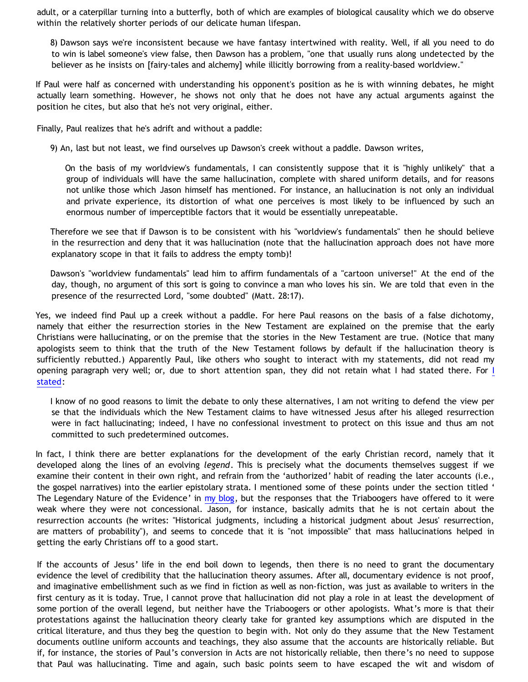adult, or a caterpillar turning into a butterfly, both of which are examples of biological causality which we do observe within the relatively shorter periods of our delicate human lifespan.

8) Dawson says we're inconsistent because we have fantasy intertwined with reality. Well, if all you need to do to win is label someone's view false, then Dawson has a problem, "one that usually runs along undetected by the believer as he insists on [fairy-tales and alchemy] while illicitly borrowing from a reality-based worldview."

If Paul were half as concerned with understanding his opponent's position as he is with winning debates, he might actually learn something. However, he shows not only that he does not have any actual arguments against the position he cites, but also that he's not very original, either.

Finally, Paul realizes that he's adrift and without a paddle:

9) An, last but not least, we find ourselves up Dawson's creek without a paddle. Dawson writes,

On the basis of my worldview's fundamentals, I can consistently suppose that it is "highly unlikely" that a group of individuals will have the same hallucination, complete with shared uniform details, and for reasons not unlike those which Jason himself has mentioned. For instance, an hallucination is not only an individual and private experience, its distortion of what one perceives is most likely to be influenced by such an enormous number of imperceptible factors that it would be essentially unrepeatable.

Therefore we see that if Dawson is to be consistent with his "worldview's fundamentals" then he should believe in the resurrection and deny that it was hallucination (note that the hallucination approach does not have more explanatory scope in that it fails to address the empty tomb)!

Dawson's "worldview fundamentals" lead him to affirm fundamentals of a "cartoon universe!" At the end of the day, though, no argument of this sort is going to convince a man who loves his sin. We are told that even in the presence of the resurrected Lord, "some doubted" (Matt. 28:17).

Yes, we indeed find Paul up a creek without a paddle. For here Paul reasons on the basis of a false dichotomy, namely that either the resurrection stories in the New Testament are explained on the premise that the early Christians were hallucinating, or on the premise that the stories in the New Testament are true. (Notice that many apologists seem to think that the truth of the New Testament follows by default if the hallucination theory is sufficiently rebutted.) Apparently Paul, like others who sought to interact with my statements, did not read my opening paragraph very well; or, due to short attention span, they did not retain what I had stated there. For [I](http://bahnsenburner.blogspot.com/2006/05/jason-and-halluci-nots.html) [stated](http://bahnsenburner.blogspot.com/2006/05/jason-and-halluci-nots.html):

I know of no good reasons to limit the debate to only these alternatives, I am not writing to defend the view per se that the individuals which the New Testament claims to have witnessed Jesus after his alleged resurrection were in fact hallucinating; indeed, I have no confessional investment to protect on this issue and thus am not committed to such predetermined outcomes.

In fact, I think there are better explanations for the development of the early Christian record, namely that it developed along the lines of an evolving *legend*. This is precisely what the documents themselves suggest if we examine their content in their own right, and refrain from the 'authorized' habit of reading the later accounts (i.e., the gospel narratives) into the earlier epistolary strata. I mentioned some of these points under the section titled ' The Legendary Nature of the Evidence' in [my blog](http://bahnsenburner.blogspot.com/2006/05/jason-and-halluci-nots.html), but the responses that the Triaboogers have offered to it were weak where they were not concessional. Jason, for instance, basically admits that he is not certain about the resurrection accounts (he writes: "Historical judgments, including a historical judgment about Jesus' resurrection, are matters of probability"), and seems to concede that it is "not impossible" that mass hallucinations helped in getting the early Christians off to a good start.

If the accounts of Jesus' life in the end boil down to legends, then there is no need to grant the documentary evidence the level of credibility that the hallucination theory assumes. After all, documentary evidence is not proof, and imaginative embellishment such as we find in fiction as well as non-fiction, was just as available to writers in the first century as it is today. True, I cannot prove that hallucination did not play a role in at least the development of some portion of the overall legend, but neither have the Triaboogers or other apologists. What's more is that their protestations against the hallucination theory clearly take for granted key assumptions which are disputed in the critical literature, and thus they beg the question to begin with. Not only do they assume that the New Testament documents outline uniform accounts and teachings, they also assume that the accounts are historically reliable. But if, for instance, the stories of Paul's conversion in Acts are not historically reliable, then there's no need to suppose that Paul was hallucinating. Time and again, such basic points seem to have escaped the wit and wisdom of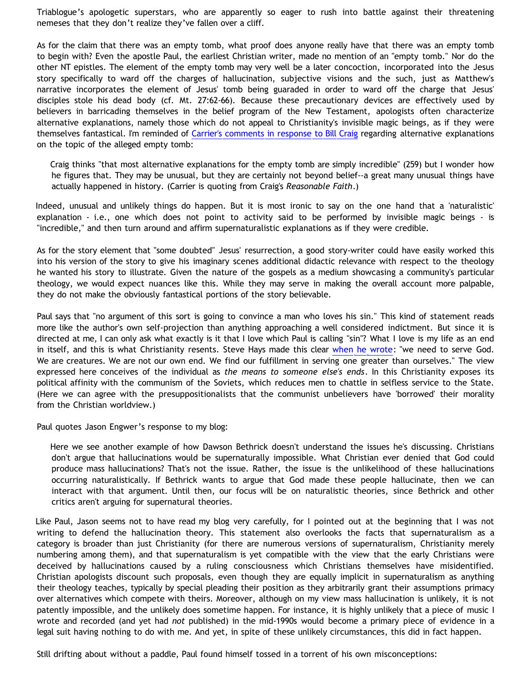Triablogue's apologetic superstars, who are apparently so eager to rush into battle against their threatening nemeses that they don't realize they've fallen over a cliff.

As for the claim that there was an empty tomb, what proof does anyone really have that there was an empty tomb to begin with? Even the apostle Paul, the earliest Christian writer, made no mention of an "empty tomb." Nor do the other NT epistles. The element of the empty tomb may very well be a later concoction, incorporated into the Jesus story specifically to ward off the charges of hallucination, subjective visions and the such, just as Matthew's narrative incorporates the element of Jesus' tomb being guaraded in order to ward off the charge that Jesus' disciples stole his dead body (cf. Mt. 27:62-66). Because these precautionary devices are effectively used by believers in barricading themselves in the belief program of the New Testament, apologists often characterize alternative explanations, namely those which do not appeal to Christianity's invisible magic beings, as if they were themselves fantastical. I'm reminded of [Carrier's comments in response to Bill Craig](http://www.infidels.org/library/modern/richard_carrier/indef/4e.html) regarding alternative explanations on the topic of the alleged empty tomb:

Craig thinks "that most alternative explanations for the empty tomb are simply incredible" (259) but I wonder how he figures that. They may be unusual, but they are certainly not beyond belief--a great many unusual things have actually happened in history. (Carrier is quoting from Craig's *Reasonable Faith*.)

Indeed, unusual and unlikely things do happen. But it is most ironic to say on the one hand that a 'naturalistic' explanation - i.e., one which does not point to activity said to be performed by invisible magic beings - is "incredible," and then turn around and affirm supernaturalistic explanations as if they were credible.

As for the story element that "some doubted" Jesus' resurrection, a good story-writer could have easily worked this into his version of the story to give his imaginary scenes additional didactic relevance with respect to the theology he wanted his story to illustrate. Given the nature of the gospels as a medium showcasing a community's particular theology, we would expect nuances like this. While they may serve in making the overall account more palpable, they do not make the obviously fantastical portions of the story believable.

Paul says that "no argument of this sort is going to convince a man who loves his sin." This kind of statement reads more like the author's own self-projection than anything approaching a well considered indictment. But since it is directed at me, I can only ask what exactly is it that I love which Paul is calling "sin"? What I love is my life as an end in itself, and this is what Christianity resents. Steve Hays made this clear [when he wrote](http://triablogue.blogspot.com/2006/04/questions-for-christians.html): "we need to serve God. We are creatures. We are not our own end. We find our fulfillment in serving one greater than ourselves." The view expressed here conceives of the individual as *the means to someone else's ends*. In this Christianity exposes its political affinity with the communism of the Soviets, which reduces men to chattle in selfless service to the State. (Here we can agree with the presuppositionalists that the communist unbelievers have 'borrowed' their morality from the Christian worldview.)

Paul quotes Jason Engwer's response to my blog:

Here we see another example of how Dawson Bethrick doesn't understand the issues he's discussing. Christians don't argue that hallucinations would be supernaturally impossible. What Christian ever denied that God could produce mass hallucinations? That's not the issue. Rather, the issue is the unlikelihood of these hallucinations occurring naturalistically. If Bethrick wants to argue that God made these people hallucinate, then we can interact with that argument. Until then, our focus will be on naturalistic theories, since Bethrick and other critics aren't arguing for supernatural theories.

Like Paul, Jason seems not to have read my blog very carefully, for I pointed out at the beginning that I was not writing to defend the hallucination theory. This statement also overlooks the facts that supernaturalism as a category is broader than just Christianity (for there are numerous versions of supernaturalism, Christianity merely numbering among them), and that supernaturalism is yet compatible with the view that the early Christians were deceived by hallucinations caused by a ruling consciousness which Christians themselves have misidentified. Christian apologists discount such proposals, even though they are equally implicit in supernaturalism as anything their theology teaches, typically by special pleading their position as they arbitrarily grant their assumptions primacy over alternatives which compete with theirs. Moreover, although on my view mass hallucination is unlikely, it is not patently impossible, and the unlikely does sometime happen. For instance, it is highly unlikely that a piece of music I wrote and recorded (and yet had *not* published) in the mid-1990s would become a primary piece of evidence in a legal suit having nothing to do with me. And yet, in spite of these unlikely circumstances, this did in fact happen.

Still drifting about without a paddle, Paul found himself tossed in a torrent of his own misconceptions: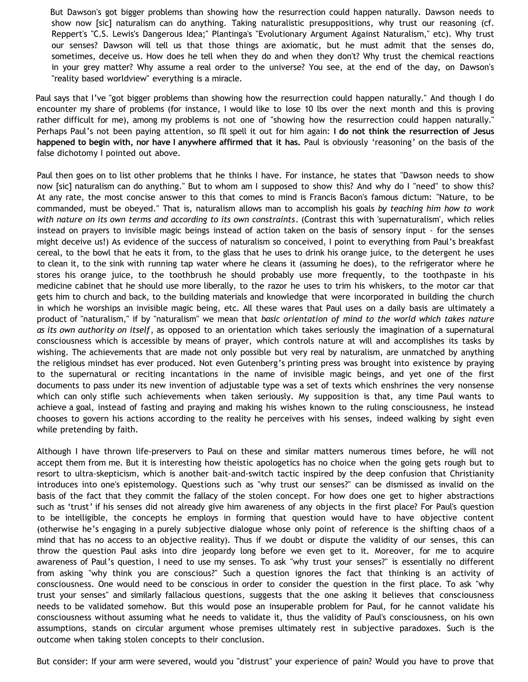But Dawson's got bigger problems than showing how the resurrection could happen naturally. Dawson needs to show now [sic] naturalism can do anything. Taking naturalistic presuppositions, why trust our reasoning (cf. Reppert's "C.S. Lewis's Dangerous Idea;" Plantinga's "Evolutionary Argument Against Naturalism," etc). Why trust our senses? Dawson will tell us that those things are axiomatic, but he must admit that the senses do, sometimes, deceive us. How does he tell when they do and when they don't? Why trust the chemical reactions in your grey matter? Why assume a real order to the universe? You see, at the end of the day, on Dawson's "reality based worldview" everything is a miracle.

Paul says that I've "got bigger problems than showing how the resurrection could happen naturally." And though I do encounter my share of problems (for instance, I would like to lose 10 lbs over the next month and this is proving rather difficult for me), among my problems is not one of "showing how the resurrection could happen naturally." Perhaps Paul's not been paying attention, so I'll spell it out for him again: **I do not think the resurrection of Jesus happened to begin with, nor have I anywhere affirmed that it has.** Paul is obviously 'reasoning' on the basis of the false dichotomy I pointed out above.

Paul then goes on to list other problems that he thinks I have. For instance, he states that "Dawson needs to show now [sic] naturalism can do anything." But to whom am I supposed to show this? And why do I "need" to show this? At any rate, the most concise answer to this that comes to mind is Francis Bacon's famous dictum: "Nature, to be commanded, must be obeyed." That is, naturalism allows man to accomplish his goals *by teaching him how to work with nature on its own terms and according to its own constraints*. (Contrast this with 'supernaturalism', which relies instead on prayers to invisible magic beings instead of action taken on the basis of sensory input - for the senses might deceive us!) As evidence of the success of naturalism so conceived, I point to everything from Paul's breakfast cereal, to the bowl that he eats it from, to the glass that he uses to drink his orange juice, to the detergent he uses to clean it, to the sink with running tap water where he cleans it (assuming he does), to the refrigerator where he stores his orange juice, to the toothbrush he should probably use more frequently, to the toothpaste in his medicine cabinet that he should use more liberally, to the razor he uses to trim his whiskers, to the motor car that gets him to church and back, to the building materials and knowledge that were incorporated in building the church in which he worships an invisible magic being, etc. All these wares that Paul uses on a daily basis are ultimately a product of "naturalism," if by "naturalism" we mean that *basic orientation of mind to the world which takes nature as its own authority on itself*, as opposed to an orientation which takes seriously the imagination of a supernatural consciousness which is accessible by means of prayer, which controls nature at will and accomplishes its tasks by wishing. The achievements that are made not only possible but very real by naturalism, are unmatched by anything the religious mindset has ever produced. Not even Gutenberg's printing press was brought into existence by praying to the supernatural or reciting incantations in the name of invisible magic beings, and yet one of the first documents to pass under its new invention of adjustable type was a set of texts which enshrines the very nonsense which can only stifle such achievements when taken seriously. My supposition is that, any time Paul wants to achieve a goal, instead of fasting and praying and making his wishes known to the ruling consciousness, he instead chooses to govern his actions according to the reality he perceives with his senses, indeed walking by sight even while pretending by faith.

Although I have thrown life-preservers to Paul on these and similar matters numerous times before, he will not accept them from me. But it is interesting how theistic apologetics has no choice when the going gets rough but to resort to ultra-skepticism, which is another bait-and-switch tactic inspired by the deep confusion that Christianity introduces into one's epistemology. Questions such as "why trust our senses?" can be dismissed as invalid on the basis of the fact that they commit the fallacy of the stolen concept. For how does one get to higher abstractions such as 'trust' if his senses did not already give him awareness of any objects in the first place? For Paul's question to be intelligible, the concepts he employs in forming that question would have to have objective content (otherwise he's engaging in a purely subjective dialogue whose only point of reference is the shifting chaos of a mind that has no access to an objective reality). Thus if we doubt or dispute the validity of our senses, this can throw the question Paul asks into dire jeopardy long before we even get to it. Moreover, for me to acquire awareness of Paul's question, I need to use my senses. To ask "why trust your senses?" is essentially no different from asking "why think you are conscious?" Such a question ignores the fact that thinking is an activity of consciousness. One would need to be conscious in order to consider the question in the first place. To ask "why trust your senses" and similarly fallacious questions, suggests that the one asking it believes that consciousness needs to be validated somehow. But this would pose an insuperable problem for Paul, for he cannot validate his consciousness without assuming what he needs to validate it, thus the validity of Paul's consciousness, on his own assumptions, stands on circular argument whose premises ultimately rest in subjective paradoxes. Such is the outcome when taking stolen concepts to their conclusion.

But consider: If your arm were severed, would you "distrust" your experience of pain? Would you have to prove that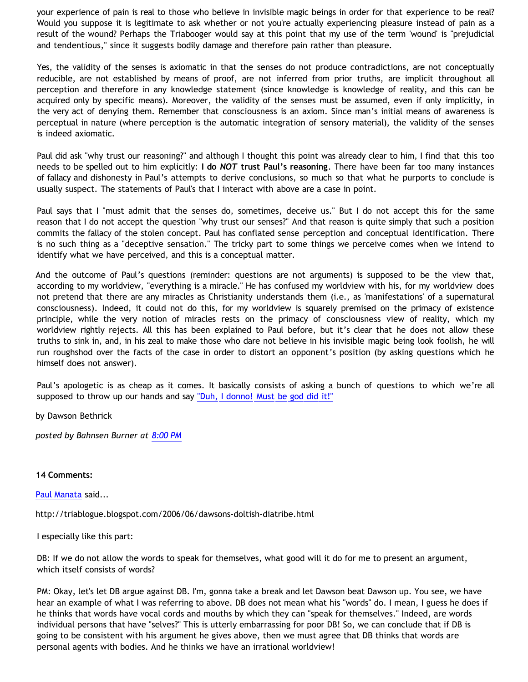your experience of pain is real to those who believe in invisible magic beings in order for that experience to be real? Would you suppose it is legitimate to ask whether or not you're actually experiencing pleasure instead of pain as a result of the wound? Perhaps the Triabooger would say at this point that my use of the term 'wound' is "prejudicial and tendentious," since it suggests bodily damage and therefore pain rather than pleasure.

Yes, the validity of the senses is axiomatic in that the senses do not produce contradictions, are not conceptually reducible, are not established by means of proof, are not inferred from prior truths, are implicit throughout all perception and therefore in any knowledge statement (since knowledge is knowledge of reality, and this can be acquired only by specific means). Moreover, the validity of the senses must be assumed, even if only implicitly, in the very act of denying them. Remember that consciousness is an axiom. Since man's initial means of awareness is perceptual in nature (where perception is the automatic integration of sensory material), the validity of the senses is indeed axiomatic.

Paul did ask "why trust our reasoning?" and although I thought this point was already clear to him, I find that this too needs to be spelled out to him explicitly: **I do** *NOT* **trust Paul's reasoning**. There have been far too many instances of fallacy and dishonesty in Paul's attempts to derive conclusions, so much so that what he purports to conclude is usually suspect. The statements of Paul's that I interact with above are a case in point.

Paul says that I "must admit that the senses do, sometimes, deceive us." But I do not accept this for the same reason that I do not accept the question "why trust our senses?" And that reason is quite simply that such a position commits the fallacy of the stolen concept. Paul has conflated sense perception and conceptual identification. There is no such thing as a "deceptive sensation." The tricky part to some things we perceive comes when we intend to identify what we have perceived, and this is a conceptual matter.

And the outcome of Paul's questions (reminder: questions are not arguments) is supposed to be the view that, according to my worldview, "everything is a miracle." He has confused my worldview with his, for my worldview does not pretend that there are any miracles as Christianity understands them (i.e., as 'manifestations' of a supernatural consciousness). Indeed, it could not do this, for my worldview is squarely premised on the primacy of existence principle, while the very notion of miracles rests on the primacy of consciousness view of reality, which my worldview rightly rejects. All this has been explained to Paul before, but it's clear that he does not allow these truths to sink in, and, in his zeal to make those who dare not believe in his invisible magic being look foolish, he will run roughshod over the facts of the case in order to distort an opponent's position (by asking questions which he himself does not answer).

Paul's apologetic is as cheap as it comes. It basically consists of asking a bunch of questions to which we're all supposed to throw up our hands and say ["Duh, I donno! Must be god did it!"](http://www.geocities.com/katholon/duh15.wav)

by Dawson Bethrick

*posted by Bahnsen Burner at [8:00 PM](http://bahnsenburner.blogspot.com/2006/06/manata-overboard-adrift-and-without.html)*

#### **14 Comments:**

[Paul Manata](http://www.blogger.com/profile/7464842) said...

<http://triablogue.blogspot.com/2006/06/dawsons-doltish-diatribe.html>

I especially like this part:

DB: If we do not allow the words to speak for themselves, what good will it do for me to present an argument, which itself consists of words?

PM: Okay, let's let DB argue against DB. I'm, gonna take a break and let Dawson beat Dawson up. You see, we have hear an example of what I was referring to above. DB does not mean what his "words" do. I mean, I guess he does if he thinks that words have vocal cords and mouths by which they can "speak for themselves." Indeed, are words individual persons that have "selves?" This is utterly embarrassing for poor DB! So, we can conclude that if DB is going to be consistent with his argument he gives above, then we must agree that DB thinks that words are personal agents with bodies. And he thinks we have an irrational worldview!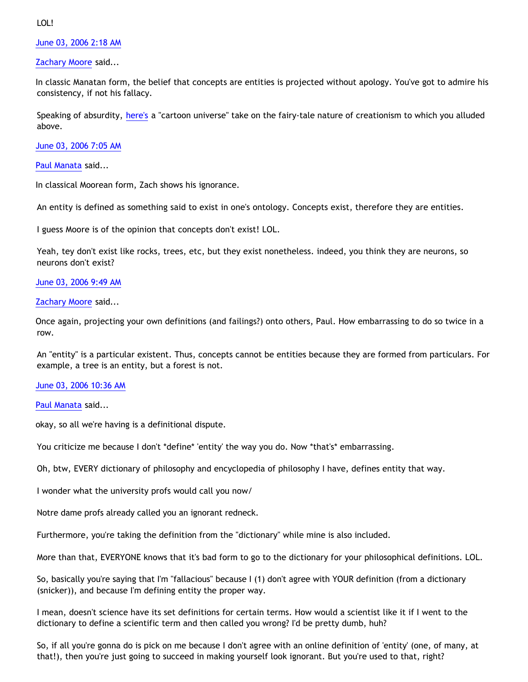LOL!

[June 03, 2006 2:18 AM](http://bahnsenburner.blogspot.com/2006/06/114932633795487228)

[Zachary Moore](http://www.blogger.com/profile/7564330) said...

In classic Manatan form, the belief that concepts are entities is projected without apology. You've got to admire his consistency, if not his fallacy.

Speaking of absurdity, [here's](http://onegoodmove.org/1gm/1gmarchive/2006/05/the_big_bang.html) a "cartoon universe" take on the fairy-tale nature of creationism to which you alluded above.

[June 03, 2006 7:05 AM](http://bahnsenburner.blogspot.com/2006/06/114934354020949520)

[Paul Manata](http://www.blogger.com/profile/7464842) said...

In classical Moorean form, Zach shows his ignorance.

An entity is defined as something said to exist in one's ontology. Concepts exist, therefore they are entities.

I guess Moore is of the opinion that concepts don't exist! LOL.

Yeah, tey don't exist like rocks, trees, etc, but they exist nonetheless. indeed, you think they are neurons, so neurons don't exist?

[June 03, 2006 9:49 AM](http://bahnsenburner.blogspot.com/2006/06/114935336641939900)

[Zachary Moore](http://www.blogger.com/profile/7564330) said...

Once again, projecting your own definitions (and failings?) onto others, Paul. How embarrassing to do so twice in a row.

An "entity" is a particular existent. Thus, concepts cannot be entities because they are formed from particulars. For example, a tree is an entity, but a forest is not.

[June 03, 2006 10:36 AM](http://bahnsenburner.blogspot.com/2006/06/114935619293445304)

[Paul Manata](http://www.blogger.com/profile/7464842) said...

okay, so all we're having is a definitional dispute.

You criticize me because I don't \*define\* 'entity' the way you do. Now \*that's\* embarrassing.

Oh, btw, EVERY dictionary of philosophy and encyclopedia of philosophy I have, defines entity that way.

I wonder what the university profs would call you now/

Notre dame profs already called you an ignorant redneck.

Furthermore, you're taking the definition from the "dictionary" while mine is also included.

More than that, EVERYONE knows that it's bad form to go to the dictionary for your philosophical definitions. LOL.

So, basically you're saying that I'm "fallacious" because I (1) don't agree with YOUR definition (from a dictionary (snicker)), and because I'm defining entity the proper way.

I mean, doesn't science have its set definitions for certain terms. How would a scientist like it if I went to the dictionary to define a scientific term and then called you wrong? I'd be pretty dumb, huh?

So, if all you're gonna do is pick on me because I don't agree with an online definition of 'entity' (one, of many, at that!), then you're just going to succeed in making yourself look ignorant. But you're used to that, right?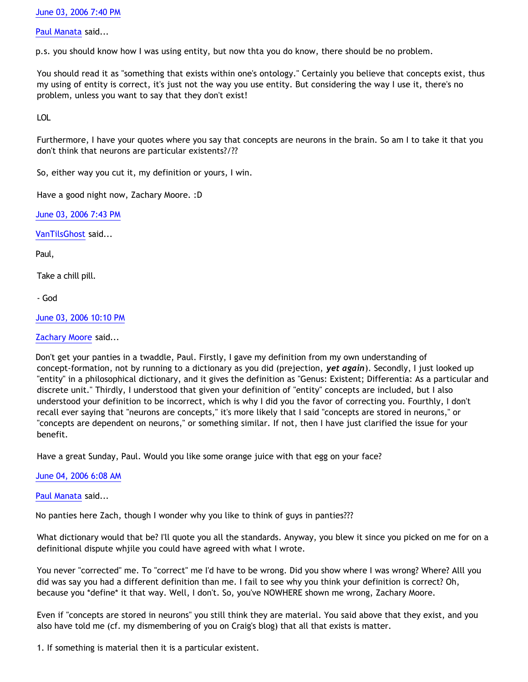[June 03, 2006 7:40 PM](http://bahnsenburner.blogspot.com/2006/06/114938881573001042)

[Paul Manata](http://www.blogger.com/profile/7464842) said...

p.s. you should know how I was using entity, but now thta you do know, there should be no problem.

You should read it as "something that exists within one's ontology." Certainly you believe that concepts exist, thus my using of entity is correct, it's just not the way you use entity. But considering the way I use it, there's no problem, unless you want to say that they don't exist!

LOL

Furthermore, I have your quotes where you say that concepts are neurons in the brain. So am I to take it that you don't think that neurons are particular existents?/??

So, either way you cut it, my definition or yours, I win.

Have a good night now, Zachary Moore. :D

[June 03, 2006 7:43 PM](http://bahnsenburner.blogspot.com/2006/06/114938900451703705)

[VanTilsGhost](http://www.blogger.com/profile/9496584) said...

Paul,

Take a chill pill.

- God

[June 03, 2006 10:10 PM](http://bahnsenburner.blogspot.com/2006/06/114939780118522918)

[Zachary Moore](http://www.blogger.com/profile/7564330) said...

Don't get your panties in a twaddle, Paul. Firstly, I gave my definition from my own understanding of concept-formation, not by running to a dictionary as you did (prejection, *yet again*). Secondly, I just looked up "entity" in a philosophical dictionary, and it gives the definition as "Genus: Existent; Differentia: As a particular and discrete unit." Thirdly, I understood that given your definition of "entity" concepts are included, but I also understood your definition to be incorrect, which is why I did you the favor of correcting you. Fourthly, I don't recall ever saying that "neurons are concepts," it's more likely that I said "concepts are stored in neurons," or "concepts are dependent on neurons," or something similar. If not, then I have just clarified the issue for your benefit.

Have a great Sunday, Paul. Would you like some orange juice with that egg on your face?

# [June 04, 2006 6:08 AM](http://bahnsenburner.blogspot.com/2006/06/114942648340118884)

# [Paul Manata](http://www.blogger.com/profile/7464842) said...

No panties here Zach, though I wonder why you like to think of guys in panties???

What dictionary would that be? I'll quote you all the standards. Anyway, you blew it since you picked on me for on a definitional dispute whjile you could have agreed with what I wrote.

You never "corrected" me. To "correct" me I'd have to be wrong. Did you show where I was wrong? Where? Alll you did was say you had a different definition than me. I fail to see why you think your definition is correct? Oh, because you \*define\* it that way. Well, I don't. So, you've NOWHERE shown me wrong, Zachary Moore.

Even if "concepts are stored in neurons" you still think they are material. You said above that they exist, and you also have told me (cf. my dismembering of you on Craig's blog) that all that exists is matter.

1. If something is material then it is a particular existent.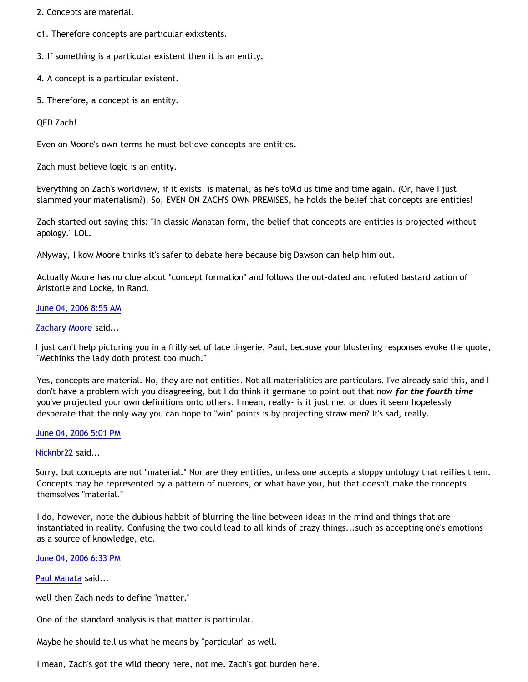2. Concepts are material.

c1. Therefore concepts are particular exixstents.

3. If something is a particular existent then it is an entity.

4. A concept is a particular existent.

5. Therefore, a concept is an entity.

QED Zach!

Even on Moore's own terms he must believe concepts are entities.

Zach must believe logic is an entity.

Everything on Zach's worldview, if it exists, is material, as he's to9ld us time and time again. (Or, have I just slammed your materialism?). So, EVEN ON ZACH'S OWN PREMISES, he holds the belief that concepts are entities!

Zach started out saying this: "In classic Manatan form, the belief that concepts are entities is projected without apology." LOL.

ANyway, I kow Moore thinks it's safer to debate here because big Dawson can help him out.

Actually Moore has no clue about "concept formation" and follows the out-dated and refuted bastardization of Aristotle and Locke, in Rand.

### [June 04, 2006 8:55 AM](http://bahnsenburner.blogspot.com/2006/06/114943652380724062)

#### [Zachary Moore](http://www.blogger.com/profile/7564330) said...

I just can't help picturing you in a frilly set of lace lingerie, Paul, because your blustering responses evoke the quote, "Methinks the lady doth protest too much."

Yes, concepts are material. No, they are not entities. Not all materialities are particulars. I've already said this, and I don't have a problem with you disagreeing, but I do think it germane to point out that now *for the fourth time* you've projected your own definitions onto others. I mean, really- is it just me, or does it seem hopelessly desperate that the only way you can hope to "win" points is by projecting straw men? It's sad, really.

#### [June 04, 2006 5:01 PM](http://bahnsenburner.blogspot.com/2006/06/114946571140995776)

#### [Nicknbr22](http://www.blogger.com/profile/25509963) said...

Sorry, but concepts are not "material." Nor are they entities, unless one accepts a sloppy ontology that reifies them. Concepts may be represented by a pattern of nuerons, or what have you, but that doesn't make the concepts themselves "material."

I do, however, note the dubious habbit of blurring the line between ideas in the mind and things that are instantiated in reality. Confusing the two could lead to all kinds of crazy things...such as accepting one's emotions as a source of knowledge, etc.

#### [June 04, 2006 6:33 PM](http://bahnsenburner.blogspot.com/2006/06/114947123765469607)

[Paul Manata](http://www.blogger.com/profile/7464842) said...

well then Zach neds to define "matter."

One of the standard analysis is that matter is particular.

Maybe he should tell us what he means by "particular" as well.

I mean, Zach's got the wild theory here, not me. Zach's got burden here.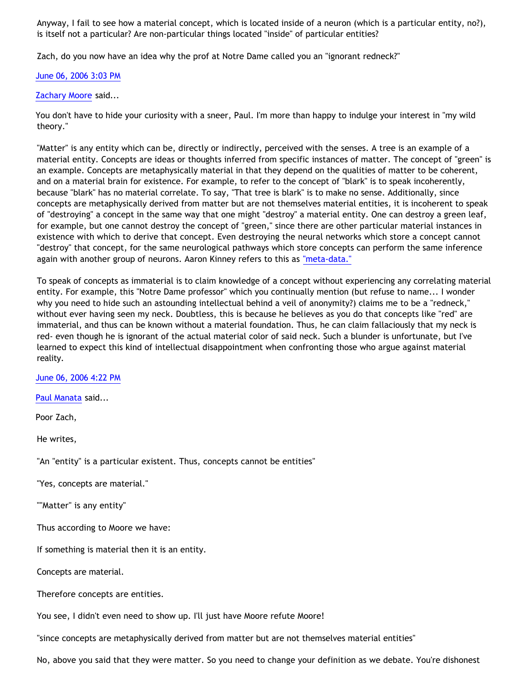Anyway, I fail to see how a material concept, which is located inside of a neuron (which is a particular entity, no?), is itself not a particular? Are non-particular things located "inside" of particular entities?

Zach, do you now have an idea why the prof at Notre Dame called you an "ignorant redneck?"

# [June 06, 2006 3:03 PM](http://bahnsenburner.blogspot.com/2006/06/114963140402312289)

# [Zachary Moore](http://www.blogger.com/profile/7564330) said...

You don't have to hide your curiosity with a sneer, Paul. I'm more than happy to indulge your interest in "my wild theory."

"Matter" is any entity which can be, directly or indirectly, perceived with the senses. A tree is an example of a material entity. Concepts are ideas or thoughts inferred from specific instances of matter. The concept of "green" is an example. Concepts are metaphysically material in that they depend on the qualities of matter to be coherent, and on a material brain for existence. For example, to refer to the concept of "blark" is to speak incoherently, because "blark" has no material correlate. To say, "That tree is blark" is to make no sense. Additionally, since concepts are metaphysically derived from matter but are not themselves material entities, it is incoherent to speak of "destroying" a concept in the same way that one might "destroy" a material entity. One can destroy a green leaf, for example, but one cannot destroy the concept of "green," since there are other particular material instances in existence with which to derive that concept. Even destroying the neural networks which store a concept cannot "destroy" that concept, for the same neurological pathways which store concepts can perform the same inference again with another group of neurons. Aaron Kinney refers to this as ["meta-data."](http://killtheafterlife.blogspot.com/2006/02/manata-if-it-doesnt-burn-it-isnt.html)

To speak of concepts as immaterial is to claim knowledge of a concept without experiencing any correlating material entity. For example, this "Notre Dame professor" which you continually mention (but refuse to name... I wonder why you need to hide such an astounding intellectual behind a veil of anonymity?) claims me to be a "redneck," without ever having seen my neck. Doubtless, this is because he believes as you do that concepts like "red" are immaterial, and thus can be known without a material foundation. Thus, he can claim fallaciously that my neck is red- even though he is ignorant of the actual material color of said neck. Such a blunder is unfortunate, but I've learned to expect this kind of intellectual disappointment when confronting those who argue against material reality.

[June 06, 2006 4:22 PM](http://bahnsenburner.blogspot.com/2006/06/114963613448898460)

[Paul Manata](http://www.blogger.com/profile/7464842) said...

Poor Zach,

He writes,

"An "entity" is a particular existent. Thus, concepts cannot be entities"

"Yes, concepts are material."

""Matter" is any entity"

Thus according to Moore we have:

If something is material then it is an entity.

Concepts are material.

Therefore concepts are entities.

You see, I didn't even need to show up. I'll just have Moore refute Moore!

"since concepts are metaphysically derived from matter but are not themselves material entities"

No, above you said that they were matter. So you need to change your definition as we debate. You're dishonest